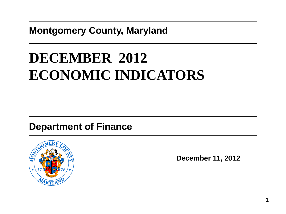## **Montgomery County, Maryland**

# **DECEMBER 2012 ECONOMIC INDICATORS**

## **Department of Finance**



**December 11, 2012**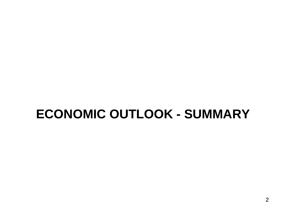# **ECONOMIC OUTLOOK - SUMMARY**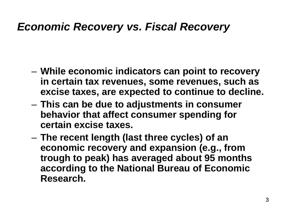# *Economic Recovery vs. Fiscal Recovery*

- **While economic indicators can point to recovery in certain tax revenues, some revenues, such as excise taxes, are expected to continue to decline.**
- **This can be due to adjustments in consumer behavior that affect consumer spending for certain excise taxes.**
- **The recent length (last three cycles) of an economic recovery and expansion (e.g., from trough to peak) has averaged about 95 months according to the National Bureau of Economic Research.**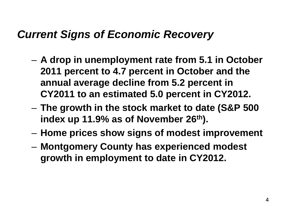# *Current Signs of Economic Recovery*

- **A drop in unemployment rate from 5.1 in October 2011 percent to 4.7 percent in October and the annual average decline from 5.2 percent in CY2011 to an estimated 5.0 percent in CY2012.**
- **The growth in the stock market to date (S&P 500 index up 11.9% as of November 26th).**
- **Home prices show signs of modest improvement**
- **Montgomery County has experienced modest growth in employment to date in CY2012.**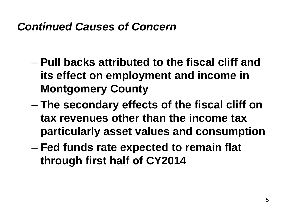# *Continued Causes of Concern*

- **Pull backs attributed to the fiscal cliff and its effect on employment and income in Montgomery County**
- **The secondary effects of the fiscal cliff on tax revenues other than the income tax particularly asset values and consumption**
- **Fed funds rate expected to remain flat through first half of CY2014**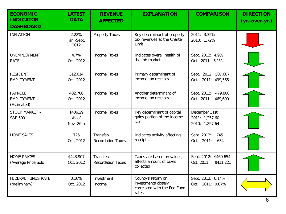| <b>ECONOMIC</b><br><b>INDICATOR</b><br><b>DASHBOARD</b> | <b>LATEST</b><br><b>DATA</b>  | <b>REVENUE</b><br><b>AFFECTED</b>     | <b>EXPLANATION</b>                                                                 | <b>COMPARISON</b>                                  | <b>DIRECTION</b><br>(yr.-over-yr.) |
|---------------------------------------------------------|-------------------------------|---------------------------------------|------------------------------------------------------------------------------------|----------------------------------------------------|------------------------------------|
| <b>INFLATION</b>                                        | 2.22%<br>Jan.-Sept.<br>2012   | <b>Property Taxes</b>                 | Key determinant of property<br>tax revenues at the Charter<br>Limit                | 2011: 3.35%<br>2010: 1.72%                         |                                    |
| UNEMPLOYMENT<br><b>RATE</b>                             | 4.7%<br>Oct. 2012             | <b>Income Taxes</b>                   | Indicates overall health of<br>the job market                                      | Sept. 2012: 4.9%<br>Oct. 2011: 5.1%                |                                    |
| <b>RESIDENT</b><br><b>EMPLOYMENT</b>                    | 512,014<br>Oct. 2012          | <b>Income Taxes</b>                   | Primary determinant of<br>income tax receipts                                      | Sept. 2012: 507,607<br>Oct. 2011: 499,565          |                                    |
| PAYROLL<br><b>EMPLOYMENT</b><br>(Estimated)             | 482,700<br>Oct. 2012          | <b>Income Taxes</b>                   | Another determinant of<br>income tax receipts                                      | Sept. 2012: 479,800<br>Oct. 2011: 469,600          |                                    |
| STOCK MARKET -<br>S&P 500                               | 1406.29<br>As of<br>Nov. 26th | <b>Income Taxes</b>                   | Key determinant of capital<br>gains portion of the income<br>tax                   | December 31st:<br>2011: 1,257.60<br>2010: 1,257.64 |                                    |
| <b>HOME SALES</b>                                       | 726<br>Oct. 2012              | Transfer/<br><b>Recordation Taxes</b> | Indicates activity affecting<br>receipts                                           | Sept. 2012:<br>745<br>Oct. 2011:<br>634            |                                    |
| <b>HOME PRICES</b><br>(Average Price Sold)              | \$443,907<br>Oct. 2012        | Transfer/<br><b>Recordation Taxes</b> | Taxes are based on values,<br>affects amount of taxes<br>collected                 | Sept. 2012: \$460,654<br>Oct. 2011:<br>\$411,221   |                                    |
| FEDERAL FUNDS RATE<br>(preliminary)                     | 0.16%<br>Oct. 2012            | Investment<br>Income                  | County's return on<br>investments closely<br>correlated with the Fed Fund<br>rates | Sept. 2012: 0.14%<br>Oct. 2011: 0.07%              |                                    |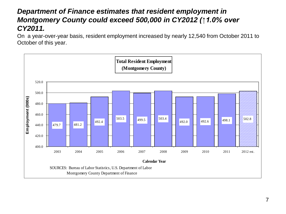#### *Department of Finance estimates that resident employment in Montgomery County could exceed 500,000 in CY2012 (↑1.0% over CY2011.*

On a year-over-year basis, resident employment increased by nearly 12,540 from October 2011 to October of this year.

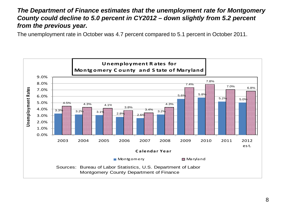#### *The Department of Finance estimates that the unemployment rate for Montgomery County could decline to 5.0 percent in CY2012 – down slightly from 5.2 percent from the previous year.*

The unemployment rate in October was 4.7 percent compared to 5.1 percent in October 2011.

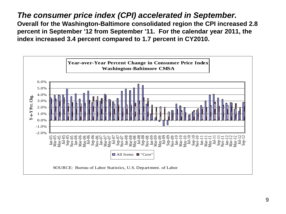*The consumer price index (CPI) accelerated in September.* **Overall for the Washington-Baltimore consolidated region the CPI increased 2.8 percent in September '12 from September '11. For the calendar year 2011, the index increased 3.4 percent compared to 1.7 percent in CY2010.**

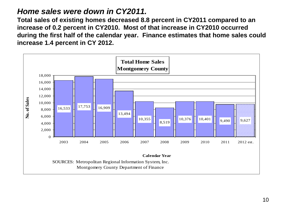#### *Home sales were down in CY2011.*

**Total sales of existing homes decreased 8.8 percent in CY2011 compared to an increase of 0.2 percent in CY2010. Most of that increase in CY2010 occurred during the first half of the calendar year. Finance estimates that home sales could increase 1.4 percent in CY 2012.**